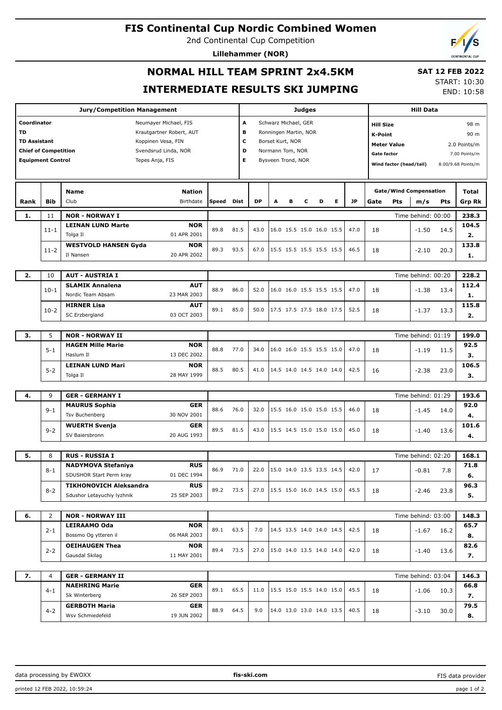### **FIS Continental Cup Nordic Combined Women**

2nd Continental Cup Competition

**Lillehammer (NOR)**



# **NORMAL HILL TEAM SPRINT 2x4.5KM INTERMEDIATE RESULTS SKI JUMPING**

 **SAT 12 FEB 2022** START: 10:30

END: 10:58

|                             |                          | <b>Jury/Competition Management</b>          |       |                          |           |                       |   | Judges                   |                          |   |           |                               |                                               | <b>Hill Data</b>   |      |               |
|-----------------------------|--------------------------|---------------------------------------------|-------|--------------------------|-----------|-----------------------|---|--------------------------|--------------------------|---|-----------|-------------------------------|-----------------------------------------------|--------------------|------|---------------|
| Coordinator                 |                          | Neumayer Michael, FIS                       |       | А                        |           | Schwarz Michael, GER  |   |                          |                          |   |           | <b>Hill Size</b>              |                                               |                    |      | 98 m          |
| <b>TD</b>                   |                          | Krautgartner Robert, AUT                    |       | в                        |           | Ronningen Martin, NOR |   |                          |                          |   |           | K-Point                       |                                               |                    |      | 90 m          |
| <b>TD Assistant</b>         |                          | Koppinen Vesa, FIN                          |       | с                        |           | Borset Kurt, NOR      |   |                          |                          |   |           |                               | <b>Meter Value</b>                            |                    |      | 2.0 Points/m  |
| <b>Chief of Competition</b> |                          | Svendsrud Linda, NOR                        |       | D                        |           | Normann Tom, NOR      |   |                          |                          |   |           | <b>Gate factor</b>            |                                               |                    |      | 7.00 Points/m |
|                             | <b>Equipment Control</b> | Tepes Anja, FIS                             |       | E.<br>Bysveen Trond, NOR |           |                       |   |                          |                          |   |           |                               | Wind factor (head/tail)<br>8.00/9.68 Points/m |                    |      |               |
|                             |                          |                                             |       |                          |           |                       |   |                          |                          |   |           |                               |                                               |                    |      |               |
|                             |                          | <b>Nation</b><br><b>Name</b>                |       |                          |           |                       |   |                          |                          |   |           | <b>Gate/Wind Compensation</b> |                                               |                    |      | Total         |
| Rank                        | <b>Bib</b>               | Club<br>Birthdate                           | Speed | Dist                     | <b>DP</b> | A                     | в | c                        | D                        | Е | <b>JP</b> | Gate                          | Pts                                           | m/s                | Pts  | <b>Grp Rk</b> |
| 1.                          | 11                       | <b>NOR - NORWAY I</b>                       |       |                          |           |                       |   |                          |                          |   |           | 238.3                         |                                               |                    |      |               |
|                             | $11 - 1$                 | <b>LEINAN LUND Marte</b><br><b>NOR</b>      | 89.8  | 81.5                     | 43.0      |                       |   |                          | 16.0 15.5 15.0 16.0 15.5 |   | 47.0      | 18                            |                                               | $-1.50$            | 14.5 | 104.5         |
|                             |                          | 01 APR 2001<br>Tolga Il                     |       |                          |           |                       |   |                          |                          |   |           |                               |                                               |                    |      | 2.            |
|                             | $11 - 2$                 | <b>WESTVOLD HANSEN Gyda</b><br><b>NOR</b>   | 89.3  | 93.5                     | 67.0      |                       |   |                          | 15.5 15.5 15.5 15.5 15.5 |   | 46.5      | 18                            |                                               | $-2.10$            | 20.3 | 133.8         |
|                             |                          | 20 APR 2002<br>Il Nansen                    |       |                          |           |                       |   |                          |                          |   |           |                               |                                               |                    |      | 1.            |
|                             |                          |                                             |       |                          |           |                       |   |                          |                          |   |           |                               |                                               |                    |      |               |
| 2.                          | 10                       | <b>AUT - AUSTRIA I</b>                      |       |                          |           |                       |   |                          |                          |   |           |                               |                                               | Time behind: 00:20 |      | 228.2         |
|                             | $10-1$                   | <b>SLAMIK Annalena</b><br><b>AUT</b>        | 88.9  | 86.0                     | 52.0      |                       |   |                          | 16.0 16.0 15.5 15.5 15.5 |   | 47.0      | 18                            |                                               | $-1.38$            | 13.4 | 112.4         |
|                             |                          | Nordic Team Absam<br>23 MAR 2003            |       |                          |           |                       |   |                          |                          |   |           |                               |                                               |                    |      | 1.            |
|                             | $10-2$                   | <b>HIRNER Lisa</b><br>AUT                   | 89.1  | 85.0                     | 50.0      |                       |   |                          | 17.5 17.5 17.5 18.0 17.5 |   | 52.5      | 18                            |                                               | $-1.37$            | 13.3 | 115.8         |
|                             |                          | <b>SC Erzbergland</b><br>03 OCT 2003        |       |                          |           |                       |   |                          |                          |   |           |                               |                                               |                    |      | 2.            |
|                             |                          |                                             |       |                          |           |                       |   |                          |                          |   |           |                               |                                               |                    |      |               |
| 3.                          | 5                        | <b>NOR - NORWAY II</b>                      |       |                          |           |                       |   |                          |                          |   |           |                               |                                               | Time behind: 01:19 |      | 199.0         |
|                             | $5 - 1$                  | <b>HAGEN Mille Marie</b><br><b>NOR</b>      | 88.8  | 77.0<br>80.5             | 34.0      |                       |   | 16.0 16.0 15.5 15.5 15.0 |                          |   | 47.0      | 18                            |                                               | $-1.19$            | 11.5 | 92.5          |
|                             |                          | Haslum II<br>13 DEC 2002                    |       |                          |           |                       |   |                          |                          |   |           |                               |                                               |                    |      | з.            |
|                             | $5 - 2$                  | <b>LEINAN LUND Mari</b><br><b>NOR</b>       | 88.5  |                          | 41.0      |                       |   |                          | 14.5 14.0 14.5 14.0 14.0 |   | 42.5      | 16                            |                                               | $-2.38$            | 23.0 | 106.5         |
|                             |                          | 28 MAY 1999<br>Tolga II                     |       |                          |           |                       |   |                          |                          |   |           |                               |                                               |                    |      | з.            |
| 4.                          | 9                        | <b>GER - GERMANY I</b>                      |       |                          |           |                       |   |                          |                          |   |           |                               |                                               | Time behind: 01:29 |      | 193.6         |
|                             | $9 - 1$                  | <b>MAURUS Sophia</b><br><b>GER</b>          |       |                          |           |                       |   |                          |                          |   |           |                               |                                               |                    |      | 92.0          |
|                             |                          | Tsv Buchenberg<br>30 NOV 2001               | 88.6  | 76.0                     | 32.0      |                       |   |                          | 15.5 16.0 15.0 15.0 15.5 |   | 46.0      | 18                            |                                               | $-1.45$            | 14.0 | 4.            |
|                             |                          | <b>WUERTH Svenja</b><br><b>GER</b>          |       |                          |           |                       |   |                          |                          |   |           |                               |                                               |                    |      | 101.6         |
|                             | $9 - 2$                  | 20 AUG 1993<br>SV Baiersbronn               | 89.5  | 81.5                     | 43.0      |                       |   |                          | 15.5 14.5 15.0 15.0 15.0 |   | 45.0      | 18                            |                                               | $-1.40$            | 13.6 | 4.            |
|                             |                          |                                             |       |                          |           |                       |   |                          |                          |   |           |                               |                                               |                    |      |               |
| 5.                          | 8                        | <b>RUS - RUSSIA I</b>                       |       |                          |           |                       |   |                          |                          |   |           |                               |                                               | Time behind: 02:20 |      | 168.1         |
|                             | $8 - 1$                  | <b>NADYMOVA Stefaniya</b><br><b>RUS</b>     | 86.9  | 71.0                     | 22.0      |                       |   |                          | 15.0 14.0 13.5 13.5 14.5 |   | 42.0      | 17                            |                                               |                    |      | 71.8          |
|                             |                          | 01 DEC 1994<br>SDUSHOR Start Perm kray      |       |                          |           |                       |   |                          |                          |   |           |                               |                                               | $-0.81$            | 7.8  | 6.            |
|                             | $8 - 2$                  | <b>TIKHONOVICH Aleksandra</b><br><b>RUS</b> | 89.2  | 73.5                     | 27.0      |                       |   |                          | 15.5 15.0 16.0 14.5 15.0 |   | 45.5      | 18                            |                                               | $-2.46$            | 23.8 | 96.3          |
|                             |                          | Sdushor Letayuchiy lyzhnik<br>25 SEP 2003   |       |                          |           |                       |   |                          |                          |   |           |                               |                                               |                    |      | 5.            |
|                             |                          |                                             |       |                          |           |                       |   |                          |                          |   |           |                               |                                               |                    |      |               |
| 6.                          | 2                        | <b>NOR - NORWAY III</b>                     |       |                          |           |                       |   |                          |                          |   |           |                               |                                               | Time behind: 03:00 |      | 148.3         |
|                             | $2 - 1$                  | LEIRAAMO Oda<br><b>NOR</b>                  | 89.1  | 63.5                     | 7.0       |                       |   |                          | 14.5 13.5 14.0 14.0 14.5 |   | 42.5      | 18                            |                                               | -1.67              | 16.2 | 65.7          |
|                             |                          | 06 MAR 2003<br>Bossmo Og ytteren il         |       |                          |           |                       |   |                          |                          |   |           |                               |                                               |                    |      | 8.            |
|                             | $2 - 2$                  | <b>OEIHAUGEN Thea</b><br><b>NOR</b>         | 89.4  | 73.5                     | 27.0      |                       |   |                          | 15.0 14.0 13.5 14.0 14.0 |   | 42.0      | 18                            |                                               | $-1.40$            | 13.6 | 82.6          |
|                             |                          | Gausdal Skilag<br>11 MAY 2001               |       |                          |           |                       |   |                          |                          |   |           |                               |                                               |                    |      | 7.            |
|                             |                          |                                             |       |                          |           |                       |   |                          |                          |   |           |                               |                                               |                    |      |               |
| 7.                          | 4                        | <b>GER - GERMANY II</b>                     |       |                          |           |                       |   |                          |                          |   |           |                               |                                               | Time behind: 03:04 |      | 146.3         |
|                             | $4 - 1$                  | <b>NAEHRING Marie</b><br>GER                | 89.1  | 65.5                     | 11.0      |                       |   |                          | 15.5 15.0 15.5 14.0 15.0 |   | 45.5      | 18                            |                                               | $-1.06$            | 10.3 | 66.8          |
|                             |                          | 26 SEP 2003<br>Sk Winterberg                |       |                          |           |                       |   |                          |                          |   |           |                               |                                               |                    |      | 7.            |
|                             | $4 - 2$                  | <b>GERBOTH Maria</b><br>GER                 | 88.9  | 64.5                     | 9.0       |                       |   |                          | 14.0 13.0 13.0 14.0 13.5 |   | 40.5      | 18                            |                                               | $-3.10$            | 30.0 | 79.5          |
|                             |                          | Wsv Schmiedefeld<br>19 JUN 2002             |       |                          |           |                       |   |                          |                          |   |           |                               |                                               |                    |      | 8.            |